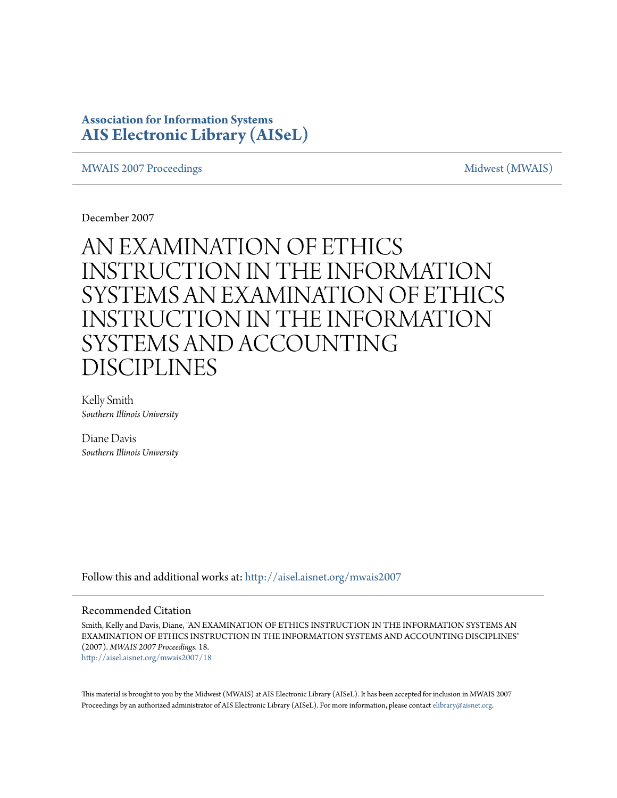## **Association for Information Systems [AIS Electronic Library \(AISeL\)](http://aisel.aisnet.org?utm_source=aisel.aisnet.org%2Fmwais2007%2F18&utm_medium=PDF&utm_campaign=PDFCoverPages)**

### [MWAIS 2007 Proceedings](http://aisel.aisnet.org/mwais2007?utm_source=aisel.aisnet.org%2Fmwais2007%2F18&utm_medium=PDF&utm_campaign=PDFCoverPages) and the matrix of the [Midwest \(MWAIS\)](http://aisel.aisnet.org/mwais?utm_source=aisel.aisnet.org%2Fmwais2007%2F18&utm_medium=PDF&utm_campaign=PDFCoverPages)

December 2007

# AN EXAMINATION OF ETHICS INSTRUCTION IN THE INFORMATION SYSTEMS AN EXAMINATION OF ETHICS INSTRUCTION IN THE INFORMATION SYSTEMS AND ACCOUNTING DISCIPLINES

Kelly Smith *Southern Illinois University*

Diane Davis *Southern Illinois University*

Follow this and additional works at: [http://aisel.aisnet.org/mwais2007](http://aisel.aisnet.org/mwais2007?utm_source=aisel.aisnet.org%2Fmwais2007%2F18&utm_medium=PDF&utm_campaign=PDFCoverPages)

### Recommended Citation

Smith, Kelly and Davis, Diane, "AN EXAMINATION OF ETHICS INSTRUCTION IN THE INFORMATION SYSTEMS AN EXAMINATION OF ETHICS INSTRUCTION IN THE INFORMATION SYSTEMS AND ACCOUNTING DISCIPLINES" (2007). *MWAIS 2007 Proceedings*. 18. [http://aisel.aisnet.org/mwais2007/18](http://aisel.aisnet.org/mwais2007/18?utm_source=aisel.aisnet.org%2Fmwais2007%2F18&utm_medium=PDF&utm_campaign=PDFCoverPages)

This material is brought to you by the Midwest (MWAIS) at AIS Electronic Library (AISeL). It has been accepted for inclusion in MWAIS 2007 Proceedings by an authorized administrator of AIS Electronic Library (AISeL). For more information, please contact [elibrary@aisnet.org](mailto:elibrary@aisnet.org%3E).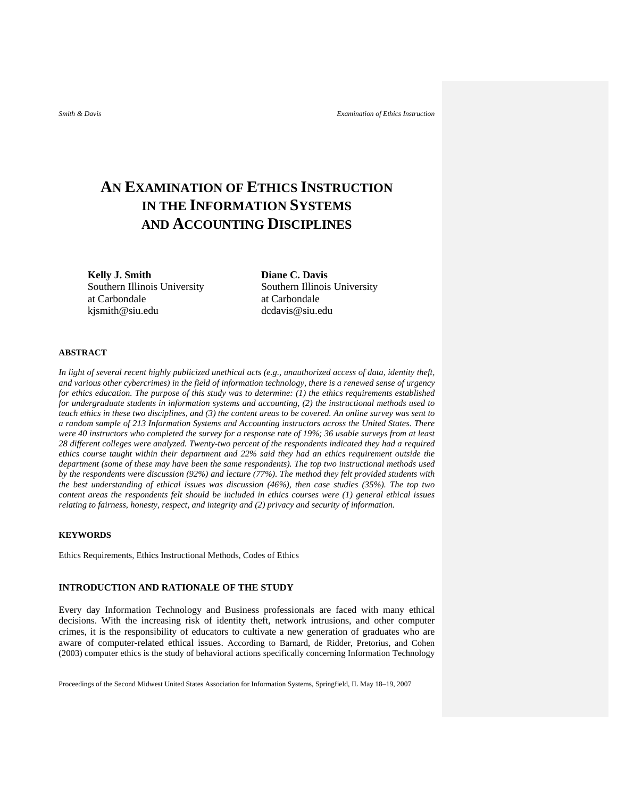# **AN EXAMINATION OF ETHICS INSTRUCTION IN THE INFORMATION SYSTEMS AND ACCOUNTING DISCIPLINES**

Kelly J. Smith Diane C. Davis at Carbondale at Carbondale kjsmith@siu.edu dcdavis@siu.edu

Southern Illinois University Southern Illinois University

#### **ABSTRACT**

*In light of several recent highly publicized unethical acts (e.g., unauthorized access of data, identity theft, and various other cybercrimes) in the field of information technology, there is a renewed sense of urgency for ethics education. The purpose of this study was to determine: (1) the ethics requirements established for undergraduate students in information systems and accounting, (2) the instructional methods used to teach ethics in these two disciplines, and (3) the content areas to be covered. An online survey was sent to a random sample of 213 Information Systems and Accounting instructors across the United States. There were 40 instructors who completed the survey for a response rate of 19%; 36 usable surveys from at least 28 different colleges were analyzed. Twenty-two percent of the respondents indicated they had a required ethics course taught within their department and 22% said they had an ethics requirement outside the department (some of these may have been the same respondents). The top two instructional methods used by the respondents were discussion (92%) and lecture (77%). The method they felt provided students with the best understanding of ethical issues was discussion (46%), then case studies (35%). The top two content areas the respondents felt should be included in ethics courses were (1) general ethical issues relating to fairness, honesty, respect, and integrity and (2) privacy and security of information.* 

### **KEYWORDS**

Ethics Requirements, Ethics Instructional Methods, Codes of Ethics

### **INTRODUCTION AND RATIONALE OF THE STUDY**

Every day Information Technology and Business professionals are faced with many ethical decisions. With the increasing risk of identity theft, network intrusions, and other computer crimes, it is the responsibility of educators to cultivate a new generation of graduates who are aware of computer-related ethical issues. According to Barnard, de Ridder, Pretorius, and Cohen (2003) computer ethics is the study of behavioral actions specifically concerning Information Technology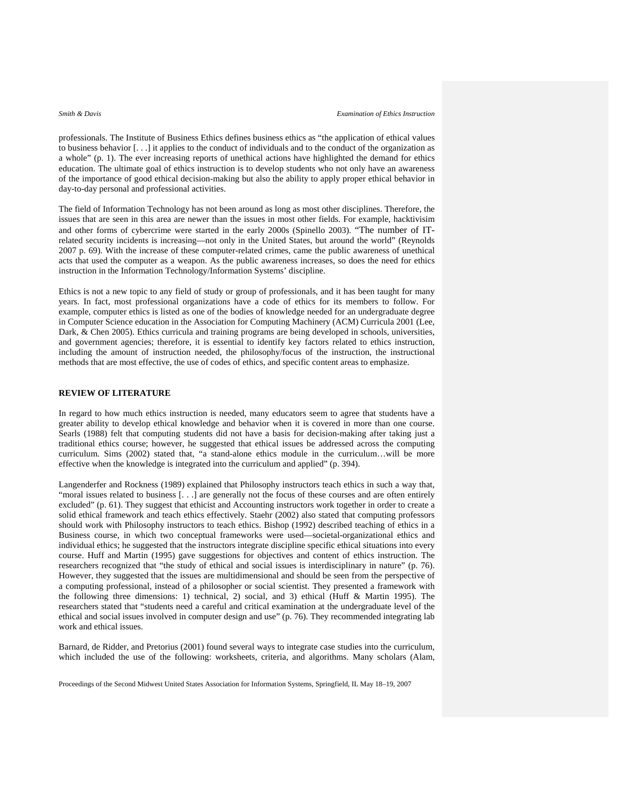professionals. The Institute of Business Ethics defines business ethics as "the application of ethical values to business behavior [. . .] it applies to the conduct of individuals and to the conduct of the organization as a whole" (p. 1). The ever increasing reports of unethical actions have highlighted the demand for ethics education. The ultimate goal of ethics instruction is to develop students who not only have an awareness of the importance of good ethical decision-making but also the ability to apply proper ethical behavior in day-to-day personal and professional activities.

The field of Information Technology has not been around as long as most other disciplines. Therefore, the issues that are seen in this area are newer than the issues in most other fields. For example, hacktivisim and other forms of cybercrime were started in the early 2000s (Spinello 2003). "The number of ITrelated security incidents is increasing—not only in the United States, but around the world" (Reynolds 2007 p. 69). With the increase of these computer-related crimes, came the public awareness of unethical acts that used the computer as a weapon. As the public awareness increases, so does the need for ethics instruction in the Information Technology/Information Systems' discipline.

Ethics is not a new topic to any field of study or group of professionals, and it has been taught for many years. In fact, most professional organizations have a code of ethics for its members to follow. For example, computer ethics is listed as one of the bodies of knowledge needed for an undergraduate degree in Computer Science education in the Association for Computing Machinery (ACM) Curricula 2001 (Lee, Dark, & Chen 2005). Ethics curricula and training programs are being developed in schools, universities, and government agencies; therefore, it is essential to identify key factors related to ethics instruction, including the amount of instruction needed, the philosophy/focus of the instruction, the instructional methods that are most effective, the use of codes of ethics, and specific content areas to emphasize.

#### **REVIEW OF LITERATURE**

In regard to how much ethics instruction is needed, many educators seem to agree that students have a greater ability to develop ethical knowledge and behavior when it is covered in more than one course. Searls (1988) felt that computing students did not have a basis for decision-making after taking just a traditional ethics course; however, he suggested that ethical issues be addressed across the computing curriculum. Sims (2002) stated that, "a stand-alone ethics module in the curriculum…will be more effective when the knowledge is integrated into the curriculum and applied" (p. 394).

Langenderfer and Rockness (1989) explained that Philosophy instructors teach ethics in such a way that, "moral issues related to business [. . .] are generally not the focus of these courses and are often entirely excluded" (p. 61). They suggest that ethicist and Accounting instructors work together in order to create a solid ethical framework and teach ethics effectively. Staehr (2002) also stated that computing professors should work with Philosophy instructors to teach ethics. Bishop (1992) described teaching of ethics in a Business course, in which two conceptual frameworks were used—societal-organizational ethics and individual ethics; he suggested that the instructors integrate discipline specific ethical situations into every course. Huff and Martin (1995) gave suggestions for objectives and content of ethics instruction. The researchers recognized that "the study of ethical and social issues is interdisciplinary in nature" (p. 76). However, they suggested that the issues are multidimensional and should be seen from the perspective of a computing professional, instead of a philosopher or social scientist. They presented a framework with the following three dimensions: 1) technical, 2) social, and 3) ethical (Huff & Martin 1995). The researchers stated that "students need a careful and critical examination at the undergraduate level of the ethical and social issues involved in computer design and use" (p. 76). They recommended integrating lab work and ethical issues.

Barnard, de Ridder, and Pretorius (2001) found several ways to integrate case studies into the curriculum, which included the use of the following: worksheets, criteria, and algorithms. Many scholars (Alam,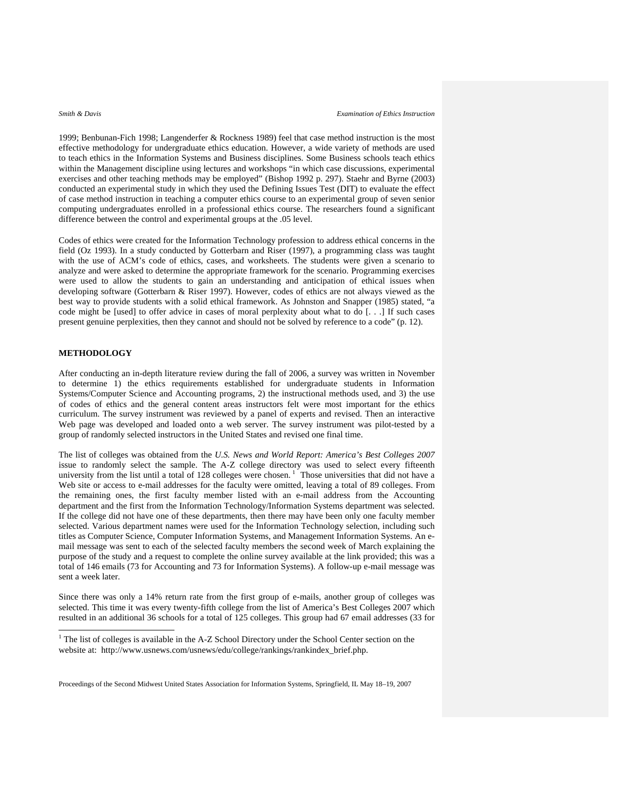1999; Benbunan-Fich 1998; Langenderfer & Rockness 1989) feel that case method instruction is the most effective methodology for undergraduate ethics education. However, a wide variety of methods are used to teach ethics in the Information Systems and Business disciplines. Some Business schools teach ethics within the Management discipline using lectures and workshops "in which case discussions, experimental exercises and other teaching methods may be employed" (Bishop 1992 p. 297). Staehr and Byrne (2003) conducted an experimental study in which they used the Defining Issues Test (DIT) to evaluate the effect of case method instruction in teaching a computer ethics course to an experimental group of seven senior computing undergraduates enrolled in a professional ethics course. The researchers found a significant difference between the control and experimental groups at the .05 level.

Codes of ethics were created for the Information Technology profession to address ethical concerns in the field (Oz 1993). In a study conducted by Gotterbarn and Riser (1997), a programming class was taught with the use of ACM's code of ethics, cases, and worksheets. The students were given a scenario to analyze and were asked to determine the appropriate framework for the scenario. Programming exercises were used to allow the students to gain an understanding and anticipation of ethical issues when developing software (Gotterbarn & Riser 1997). However, codes of ethics are not always viewed as the best way to provide students with a solid ethical framework. As Johnston and Snapper (1985) stated, "a code might be [used] to offer advice in cases of moral perplexity about what to do [. . .] If such cases present genuine perplexities, then they cannot and should not be solved by reference to a code" (p. 12).

#### **METHODOLOGY**

 $\overline{a}$ 

After conducting an in-depth literature review during the fall of 2006, a survey was written in November to determine 1) the ethics requirements established for undergraduate students in Information Systems/Computer Science and Accounting programs, 2) the instructional methods used, and 3) the use of codes of ethics and the general content areas instructors felt were most important for the ethics curriculum. The survey instrument was reviewed by a panel of experts and revised. Then an interactive Web page was developed and loaded onto a web server. The survey instrument was pilot-tested by a group of randomly selected instructors in the United States and revised one final time.

The list of colleges was obtained from the *U.S. News and World Report: America's Best Colleges 2007* issue to randomly select the sample. The A-Z college directory was used to select every fifteenth university from the list until a total of 128 colleges were chosen.<sup>1</sup> Those universities that did not have a Web site or access to e-mail addresses for the faculty were omitted, leaving a total of 89 colleges. From the remaining ones, the first faculty member listed with an e-mail address from the Accounting department and the first from the Information Technology/Information Systems department was selected. If the college did not have one of these departments, then there may have been only one faculty member selected. Various department names were used for the Information Technology selection, including such titles as Computer Science, Computer Information Systems, and Management Information Systems. An email message was sent to each of the selected faculty members the second week of March explaining the purpose of the study and a request to complete the online survey available at the link provided; this was a total of 146 emails (73 for Accounting and 73 for Information Systems). A follow-up e-mail message was sent a week later.

Since there was only a 14% return rate from the first group of e-mails, another group of colleges was selected. This time it was every twenty-fifth college from the list of America's Best Colleges 2007 which resulted in an additional 36 schools for a total of 125 colleges. This group had 67 email addresses (33 for

<sup>&</sup>lt;sup>1</sup> The list of colleges is available in the A-Z School Directory under the School Center section on the website at: http://www.usnews.com/usnews/edu/college/rankings/rankindex\_brief.php.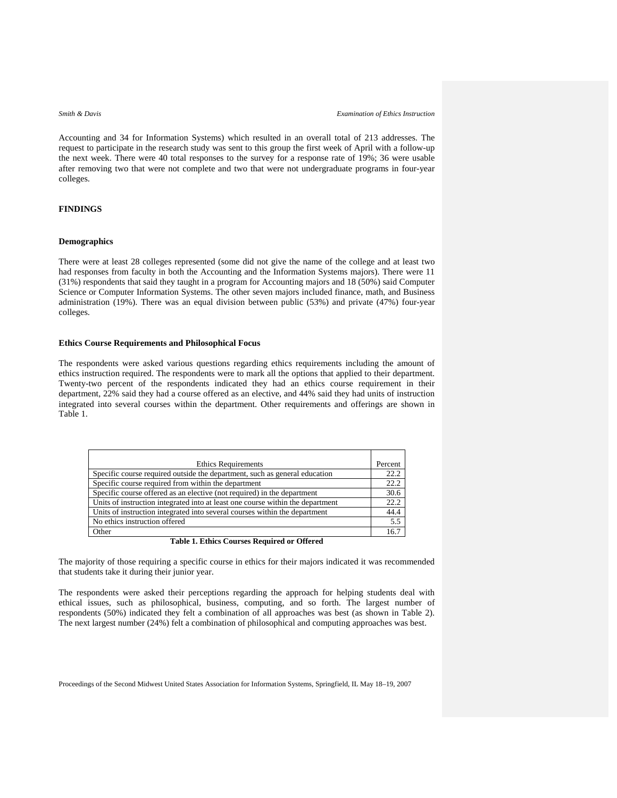Accounting and 34 for Information Systems) which resulted in an overall total of 213 addresses. The request to participate in the research study was sent to this group the first week of April with a follow-up the next week. There were 40 total responses to the survey for a response rate of 19%; 36 were usable after removing two that were not complete and two that were not undergraduate programs in four-year colleges.

#### **FINDINGS**

#### **Demographics**

There were at least 28 colleges represented (some did not give the name of the college and at least two had responses from faculty in both the Accounting and the Information Systems majors). There were 11 (31%) respondents that said they taught in a program for Accounting majors and 18 (50%) said Computer Science or Computer Information Systems. The other seven majors included finance, math, and Business administration (19%). There was an equal division between public (53%) and private (47%) four-year colleges.

#### **Ethics Course Requirements and Philosophical Focus**

The respondents were asked various questions regarding ethics requirements including the amount of ethics instruction required. The respondents were to mark all the options that applied to their department. Twenty-two percent of the respondents indicated they had an ethics course requirement in their department, 22% said they had a course offered as an elective, and 44% said they had units of instruction integrated into several courses within the department. Other requirements and offerings are shown in Table 1.

| <b>Ethics Requirements</b>                                                     | Percent |
|--------------------------------------------------------------------------------|---------|
| Specific course required outside the department, such as general education     | 22.2    |
| Specific course required from within the department                            | 22.2    |
| Specific course offered as an elective (not required) in the department        | 30.6    |
| Units of instruction integrated into at least one course within the department | 22.2    |
| Units of instruction integrated into several courses within the department     | 44.4    |
| No ethics instruction offered                                                  | 5.5     |
| Other                                                                          | 16.7    |

#### **Table 1. Ethics Courses Required or Offered**

The majority of those requiring a specific course in ethics for their majors indicated it was recommended that students take it during their junior year.

The respondents were asked their perceptions regarding the approach for helping students deal with ethical issues, such as philosophical, business, computing, and so forth. The largest number of respondents (50%) indicated they felt a combination of all approaches was best (as shown in Table 2). The next largest number (24%) felt a combination of philosophical and computing approaches was best.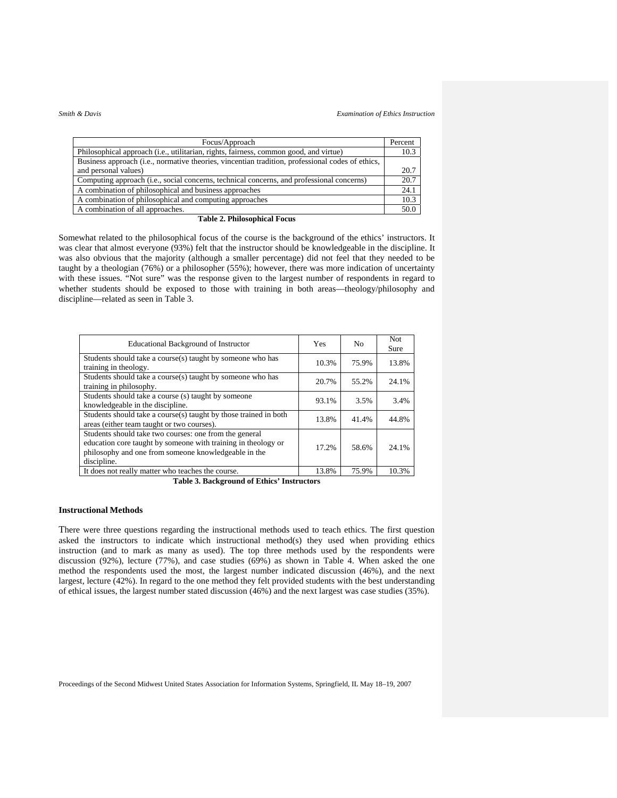| Focus/Approach                                                                                   | Percent |
|--------------------------------------------------------------------------------------------------|---------|
| Philosophical approach (i.e., utilitarian, rights, fairness, common good, and virtue)            | 10.3    |
| Business approach (i.e., normative theories, vincentian tradition, professional codes of ethics, |         |
| and personal values)                                                                             | 20.7    |
| Computing approach (i.e., social concerns, technical concerns, and professional concerns)        | 20.7    |
| A combination of philosophical and business approaches                                           | 24.1    |
| A combination of philosophical and computing approaches                                          | 10.3    |
| A combination of all approaches.                                                                 | 50.0    |

#### **Table 2. Philosophical Focus**

Somewhat related to the philosophical focus of the course is the background of the ethics' instructors. It was clear that almost everyone (93%) felt that the instructor should be knowledgeable in the discipline. It was also obvious that the majority (although a smaller percentage) did not feel that they needed to be taught by a theologian (76%) or a philosopher (55%); however, there was more indication of uncertainty with these issues. "Not sure" was the response given to the largest number of respondents in regard to whether students should be exposed to those with training in both areas—theology/philosophy and discipline—related as seen in Table 3.

| <b>Educational Background of Instructor</b>                                                                                                                                                    | <b>Yes</b> | N <sub>0</sub> | Not.<br>Sure |
|------------------------------------------------------------------------------------------------------------------------------------------------------------------------------------------------|------------|----------------|--------------|
| Students should take a course(s) taught by someone who has<br>training in theology.                                                                                                            | 10.3%      | 75.9%          | 13.8%        |
| Students should take a course(s) taught by someone who has<br>training in philosophy.                                                                                                          | 20.7%      | 55.2%          | 24.1%        |
| Students should take a course (s) taught by someone<br>knowledgeable in the discipline.                                                                                                        | 93.1%      | 3.5%           | 3.4%         |
| Students should take a course(s) taught by those trained in both<br>areas (either team taught or two courses).                                                                                 | 13.8%      | 41.4%          | 44.8%        |
| Students should take two courses: one from the general<br>education core taught by someone with training in theology or<br>philosophy and one from someone knowledgeable in the<br>discipline. | 17.2%      | 58.6%          | 24.1%        |
| It does not really matter who teaches the course.                                                                                                                                              | 13.8%      | 75.9%          | 10.3%        |

**Table 3. Background of Ethics' Instructors** 

#### **Instructional Methods**

There were three questions regarding the instructional methods used to teach ethics. The first question asked the instructors to indicate which instructional method(s) they used when providing ethics instruction (and to mark as many as used). The top three methods used by the respondents were discussion (92%), lecture (77%), and case studies (69%) as shown in Table 4. When asked the one method the respondents used the most, the largest number indicated discussion (46%), and the next largest, lecture (42%). In regard to the one method they felt provided students with the best understanding of ethical issues, the largest number stated discussion (46%) and the next largest was case studies (35%).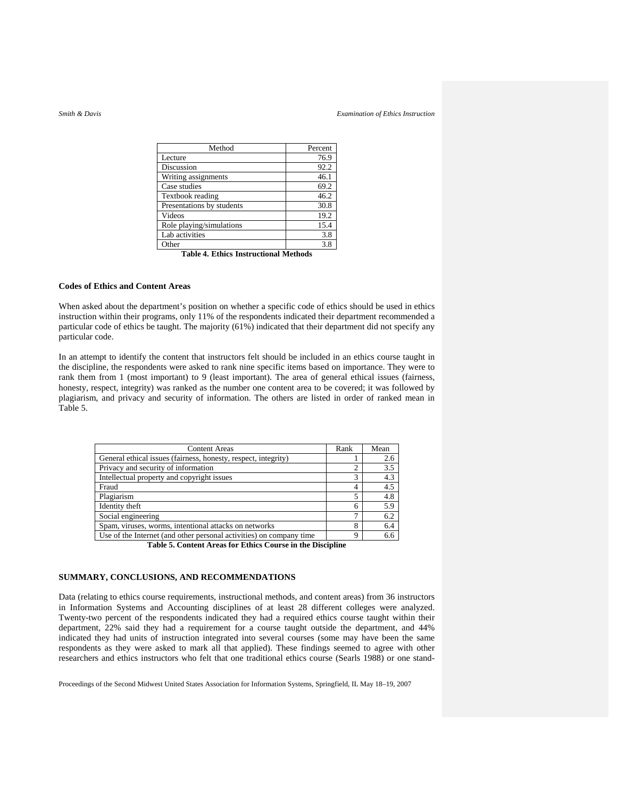| Percent |
|---------|
| 76.9    |
| 92.2    |
| 46.1    |
| 69.2    |
| 46.2    |
| 30.8    |
| 19.2    |
| 15.4    |
| 3.8     |
| 3.8     |
|         |

#### **Table 4. Ethics Instructional Methods**

#### **Codes of Ethics and Content Areas**

When asked about the department's position on whether a specific code of ethics should be used in ethics instruction within their programs, only 11% of the respondents indicated their department recommended a particular code of ethics be taught. The majority (61%) indicated that their department did not specify any particular code.

In an attempt to identify the content that instructors felt should be included in an ethics course taught in the discipline, the respondents were asked to rank nine specific items based on importance. They were to rank them from 1 (most important) to 9 (least important). The area of general ethical issues (fairness, honesty, respect, integrity) was ranked as the number one content area to be covered; it was followed by plagiarism, and privacy and security of information. The others are listed in order of ranked mean in Table 5.

| <b>Content Areas</b>                                                | Rank | Mean |
|---------------------------------------------------------------------|------|------|
| General ethical issues (fairness, honesty, respect, integrity)      |      | 2.6  |
| Privacy and security of information                                 |      | 3.5  |
| Intellectual property and copyright issues                          | 3    | 4.3  |
| Fraud                                                               |      | 4.5  |
| Plagiarism                                                          |      | 4.8  |
| Identity theft                                                      | 6    | 5.9  |
| Social engineering                                                  | ┑    | 6.2  |
| Spam, viruses, worms, intentional attacks on networks               | 8    | 6.4  |
| Use of the Internet (and other personal activities) on company time | Q    | 6.6  |

**Table 5. Content Areas for Ethics Course in the Discipline** 

#### **SUMMARY, CONCLUSIONS, AND RECOMMENDATIONS**

Data (relating to ethics course requirements, instructional methods, and content areas) from 36 instructors in Information Systems and Accounting disciplines of at least 28 different colleges were analyzed. Twenty-two percent of the respondents indicated they had a required ethics course taught within their department, 22% said they had a requirement for a course taught outside the department, and 44% indicated they had units of instruction integrated into several courses (some may have been the same respondents as they were asked to mark all that applied). These findings seemed to agree with other researchers and ethics instructors who felt that one traditional ethics course (Searls 1988) or one stand-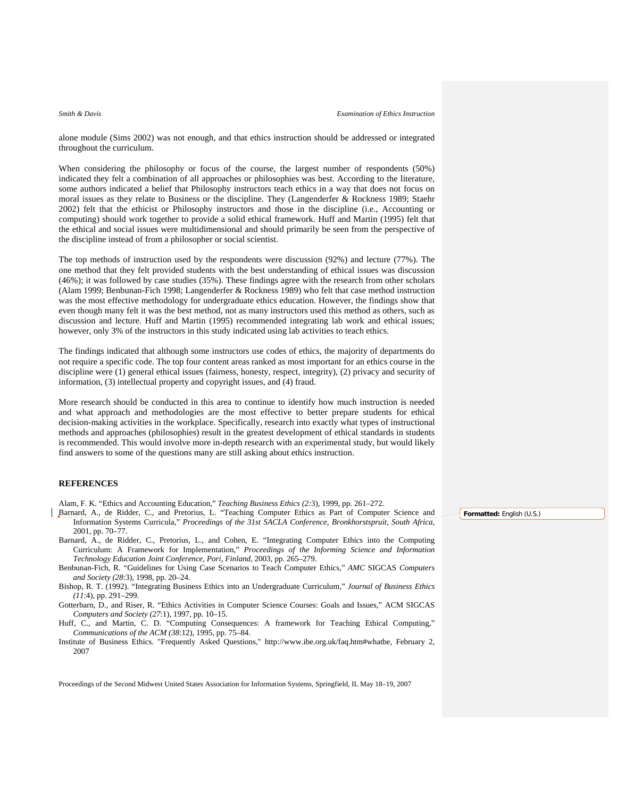alone module (Sims 2002) was not enough, and that ethics instruction should be addressed or integrated throughout the curriculum.

When considering the philosophy or focus of the course, the largest number of respondents (50%) indicated they felt a combination of all approaches or philosophies was best. According to the literature, some authors indicated a belief that Philosophy instructors teach ethics in a way that does not focus on moral issues as they relate to Business or the discipline. They (Langenderfer & Rockness 1989; Staehr 2002) felt that the ethicist or Philosophy instructors and those in the discipline (i.e., Accounting or computing) should work together to provide a solid ethical framework. Huff and Martin (1995) felt that the ethical and social issues were multidimensional and should primarily be seen from the perspective of the discipline instead of from a philosopher or social scientist.

The top methods of instruction used by the respondents were discussion (92%) and lecture (77%). The one method that they felt provided students with the best understanding of ethical issues was discussion (46%); it was followed by case studies (35%). These findings agree with the research from other scholars (Alam 1999; Benbunan-Fich 1998; Langenderfer & Rockness 1989) who felt that case method instruction was the most effective methodology for undergraduate ethics education. However, the findings show that even though many felt it was the best method, not as many instructors used this method as others, such as discussion and lecture. Huff and Martin (1995) recommended integrating lab work and ethical issues; however, only 3% of the instructors in this study indicated using lab activities to teach ethics.

The findings indicated that although some instructors use codes of ethics, the majority of departments do not require a specific code. The top four content areas ranked as most important for an ethics course in the discipline were (1) general ethical issues (fairness, honesty, respect, integrity), (2) privacy and security of information, (3) intellectual property and copyright issues, and (4) fraud.

More research should be conducted in this area to continue to identify how much instruction is needed and what approach and methodologies are the most effective to better prepare students for ethical decision-making activities in the workplace. Specifically, research into exactly what types of instructional methods and approaches (philosophies) result in the greatest development of ethical standards in students is recommended. This would involve more in-depth research with an experimental study, but would likely find answers to some of the questions many are still asking about ethics instruction.

#### **REFERENCES**

Alam, F. K. "Ethics and Accounting Education," *Teaching Business Ethics (2:*3), 1999, pp. 261–272.

- Barnard, A., de Ridder, C., and Pretorius, L. "Teaching Computer Ethics as Part of Computer Science and Information Systems Curricula," *Proceedings of the 31st SACLA Conference*, *Bronkhorstspruit*, *South Africa*, 2001, pp. 70–77.
- Barnard, A., de Ridder, C., Pretorius, L., and Cohen, E. "Integrating Computer Ethics into the Computing Curriculum: A Framework for Implementation," *Proceedings of the Informing Science and Information Technology Education Joint Conference, Pori, Finland,* 2003, pp. 265–279.
- Benbunan-Fich, R. "Guidelines for Using Case Scenarios to Teach Computer Ethics," *AMC* SIGCAS *Computers and Society (28*:3), 1998, pp. 20–24.
- Bishop, R. T. (1992). "Integrating Business Ethics into an Undergraduate Curriculum," *Journal of Business Ethics (11*:4), pp. 291–299.

Gotterbarn, D., and Riser, R. "Ethics Activities in Computer Science Courses: Goals and Issues," ACM SIGCAS *Computers and Society (27*:1), 1997, pp. 10–15.

Huff, C., and Martin, C. D. "Computing Consequences: A framework for Teaching Ethical Computing," *Communications of the ACM (38*:12), 1995, pp. 75–84.

Institute of Business Ethics. "Frequently Asked Questions," http://www.ibe.org.uk/faq.htm#whatbe, February 2, 2007

Proceedings of the Second Midwest United States Association for Information Systems, Springfield, IL May 18–19, 2007

**Formatted:** English (U.S.)